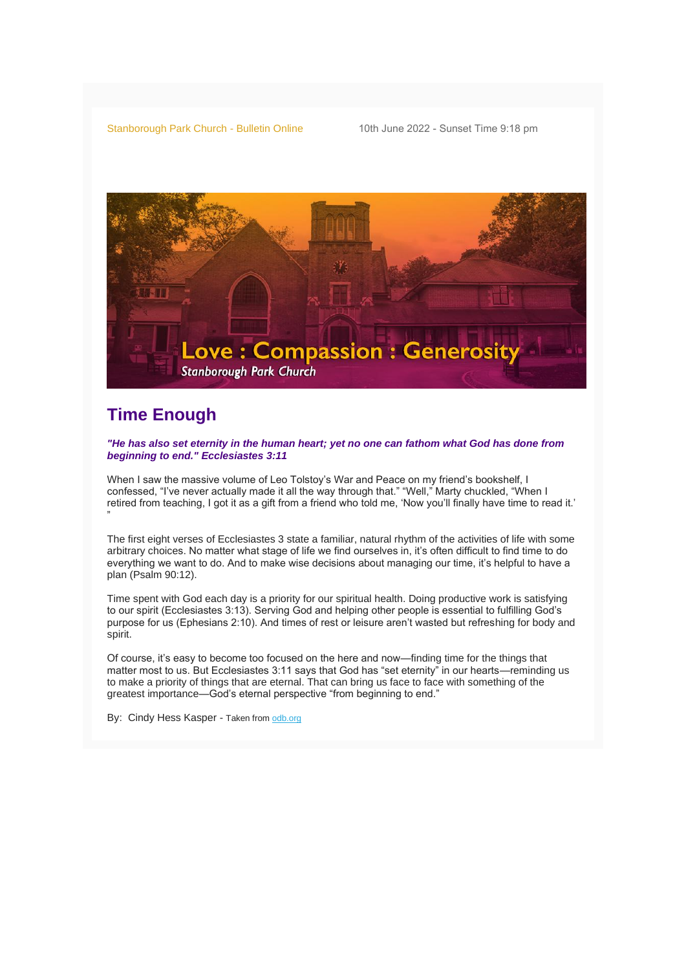Stanborough Park Church - Bulletin Online 10th June 2022 - Sunset Time 9:18 pm



## **Time Enough**

"

*"He has also set eternity in the human heart; yet no one can fathom what God has done from beginning to end." Ecclesiastes 3:11*

When I saw the massive volume of Leo Tolstoy's War and Peace on my friend's bookshelf, I confessed, "I've never actually made it all the way through that." "Well," Marty chuckled, "When I retired from teaching, I got it as a gift from a friend who told me, 'Now you'll finally have time to read it.'

The first eight verses of Ecclesiastes 3 state a familiar, natural rhythm of the activities of life with some arbitrary choices. No matter what stage of life we find ourselves in, it's often difficult to find time to do everything we want to do. And to make wise decisions about managing our time, it's helpful to have a plan (Psalm 90:12).

Time spent with God each day is a priority for our spiritual health. Doing productive work is satisfying to our spirit (Ecclesiastes 3:13). Serving God and helping other people is essential to fulfilling God's purpose for us (Ephesians 2:10). And times of rest or leisure aren't wasted but refreshing for body and spirit.

Of course, it's easy to become too focused on the here and now—finding time for the things that matter most to us. But Ecclesiastes 3:11 says that God has "set eternity" in our hearts—reminding us to make a priority of things that are eternal. That can bring us face to face with something of the greatest importance—God's eternal perspective "from beginning to end."

By: Cindy Hess Kasper - Taken from [odb.org](https://adventistchurch.us14.list-manage.com/track/click?u=9efd83f7aaf3818a26ce9d661&id=efe5146d44&e=052c5d509f)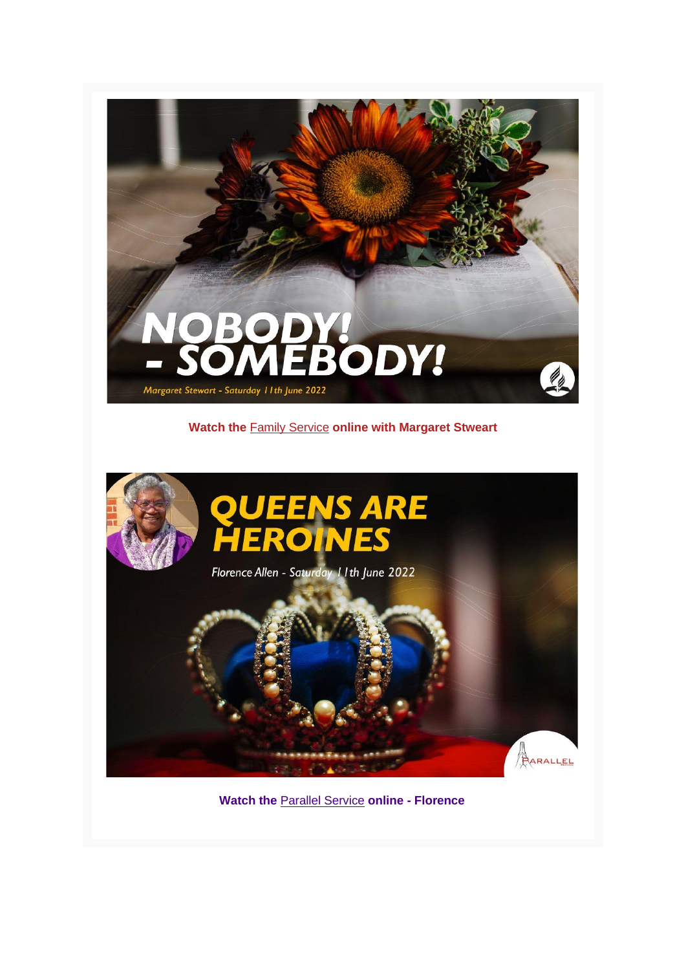

### **Watch the** [F](https://adventistchurch.us14.list-manage.com/track/click?u=9efd83f7aaf3818a26ce9d661&id=62dbb76de3&e=052c5d509f)[amily](https://adventistchurch.us14.list-manage.com/track/click?u=9efd83f7aaf3818a26ce9d661&id=1554221388&e=052c5d509f) [Service](https://adventistchurch.us14.list-manage.com/track/click?u=9efd83f7aaf3818a26ce9d661&id=f8a267babb&e=052c5d509f) **online with Margaret Stweart**



**Watch the** [Parallel Service](https://adventistchurch.us14.list-manage.com/track/click?u=9efd83f7aaf3818a26ce9d661&id=d87b740d29&e=052c5d509f) **online - Florence**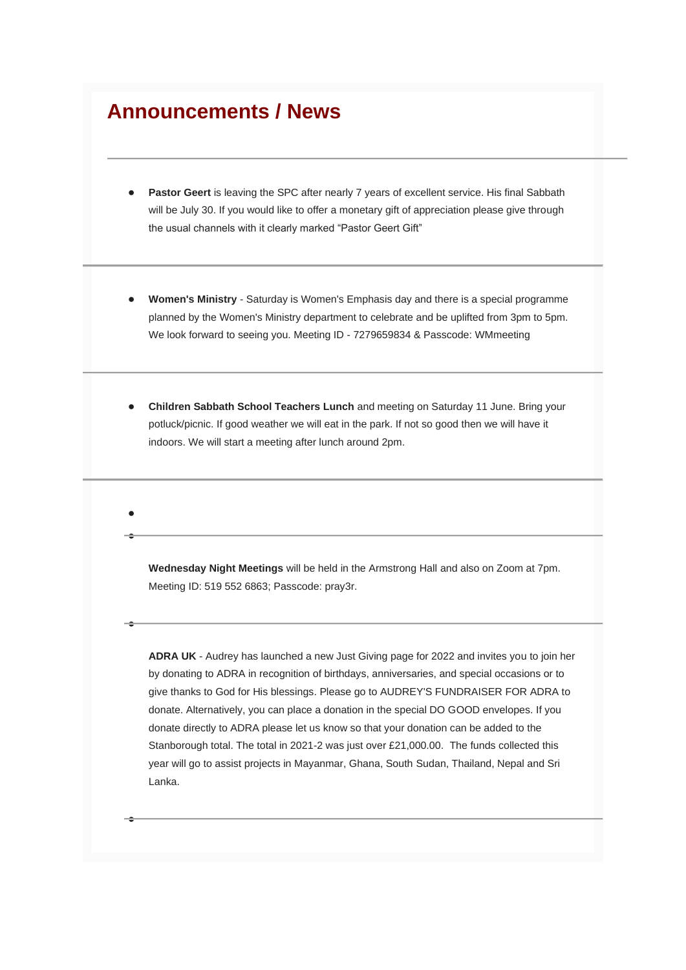# **Announcements / News**

● ●

●

●

- **Pastor Geert** is leaving the SPC after nearly 7 years of excellent service. His final Sabbath will be July 30. If you would like to offer a monetary gift of appreciation please give through the usual channels with it clearly marked "Pastor Geert Gift"
- **Women's Ministry Saturday is Women's Emphasis day and there is a special programme** planned by the Women's Ministry department to celebrate and be uplifted from 3pm to 5pm. We look forward to seeing you. Meeting ID - 7279659834 & Passcode: WMmeeting
- **Children Sabbath School Teachers Lunch** and meeting on Saturday 11 June. Bring your potluck/picnic. If good weather we will eat in the park. If not so good then we will have it indoors. We will start a meeting after lunch around 2pm.

**Wednesday Night Meetings** will be held in the Armstrong Hall and also on Zoom at 7pm. Meeting ID: 519 552 6863; Passcode: pray3r.

**ADRA UK** - Audrey has launched a new Just Giving page for 2022 and invites you to join her by donating to ADRA in recognition of birthdays, anniversaries, and special occasions or to give thanks to God for His blessings. Please go to AUDREY'S FUNDRAISER FOR ADRA to donate. Alternatively, you can place a donation in the special DO GOOD envelopes. If you donate directly to ADRA please let us know so that your donation can be added to the Stanborough total. The total in 2021-2 was just over £21,000.00. The funds collected this year will go to assist projects in Mayanmar, Ghana, South Sudan, Thailand, Nepal and Sri Lanka.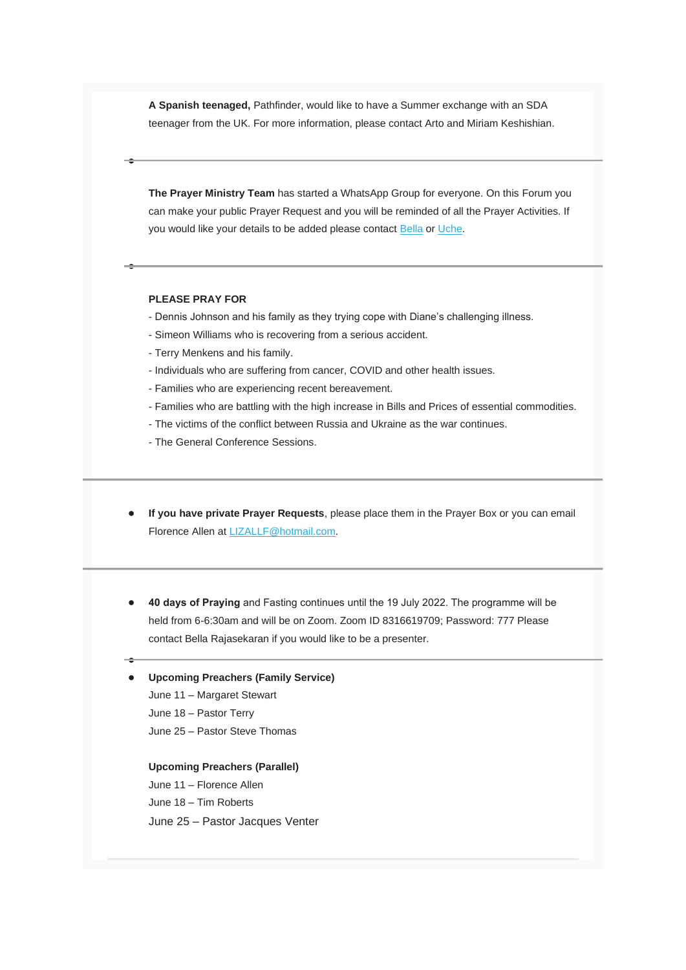**A Spanish teenaged,** Pathfinder, would like to have a Summer exchange with an SDA teenager from the UK. For more information, please contact Arto and Miriam Keshishian.

**The Prayer Ministry Team** has started a WhatsApp Group for everyone. On this Forum you can make your public Prayer Request and you will be reminded of all the Prayer Activities. If you would like your details to be added please contact [Bella](mailto:bella.rajasekaran@gmail.com) or [Uche.](mailto:uchejbc@yahoo.co.uk)

#### **PLEASE PRAY FOR**

●

●

●

- Dennis Johnson and his family as they trying cope with Diane's challenging illness.
- Simeon Williams who is recovering from a serious accident.
- Terry Menkens and his family.
- Individuals who are suffering from cancer, COVID and other health issues.
- Families who are experiencing recent bereavement.
- Families who are battling with the high increase in Bills and Prices of essential commodities.
- The victims of the conflict between Russia and Ukraine as the war continues.
- The General Conference Sessions.
- **If you have private Prayer Requests**, please place them in the Prayer Box or you can email Florence Allen at [LIZALLF@hotmail.com.](mailto:lizallf@hotmail.com)
- **40 days of Praying** and Fasting continues until the 19 July 2022. The programme will be held from 6-6:30am and will be on Zoom. Zoom ID 8316619709; Password: 777 Please contact Bella Rajasekaran if you would like to be a presenter.

#### ● **Upcoming Preachers (Family Service)**

- June 11 Margaret Stewart
- June 18 Pastor Terry

June 25 – Pastor Steve Thomas

#### **Upcoming Preachers (Parallel)**

June 11 – Florence Allen

June 18 – Tim Roberts

June 25 – Pastor Jacques Venter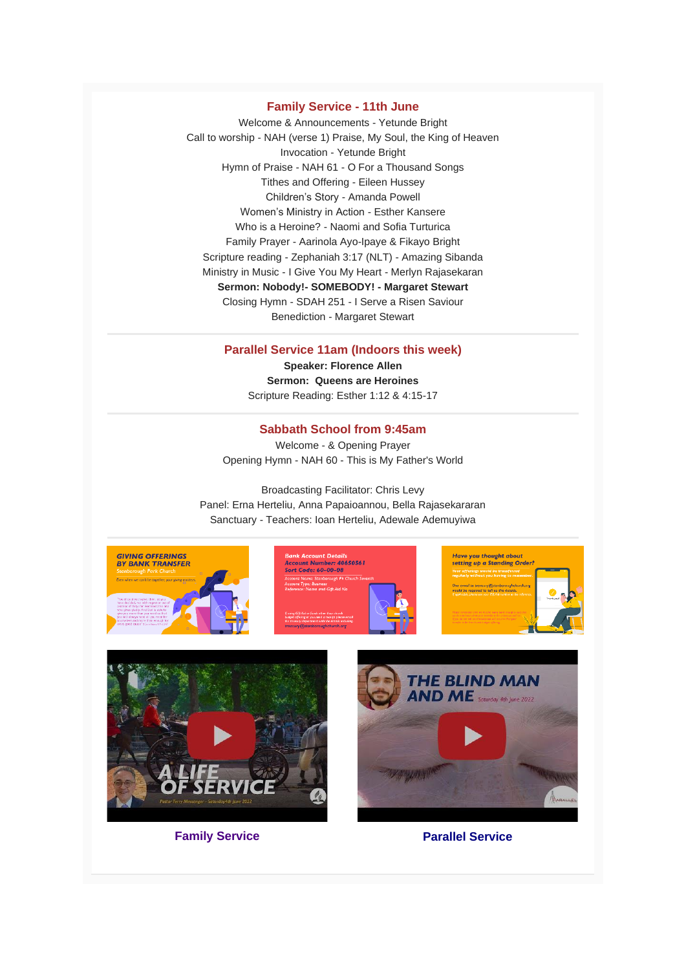#### **Family Service - 11th June**

Welcome & Announcements - Yetunde Bright Call to worship - NAH (verse 1) Praise, My Soul, the King of Heaven Invocation - Yetunde Bright Hymn of Praise - NAH 61 - O For a Thousand Songs Tithes and Offering - Eileen Hussey Children's Story - Amanda Powell Women's Ministry in Action - Esther Kansere Who is a Heroine? - Naomi and Sofia Turturica Family Prayer - Aarinola Ayo-Ipaye & Fikayo Bright Scripture reading - Zephaniah 3:17 (NLT) - Amazing Sibanda Ministry in Music - I Give You My Heart - Merlyn Rajasekaran **Sermon: Nobody!- SOMEBODY! - Margaret Stewart** Closing Hymn - SDAH 251 - I Serve a Risen Saviour Benediction - Margaret Stewart

#### **Parallel Service 11am (Indoors this week)**

**Speaker: Florence Allen Sermon: Queens are Heroines** Scripture Reading: Esther 1:12 & 4:15-17

#### **Sabbath School from 9:45am**

Welcome - & Opening Prayer Opening Hymn - NAH 60 - This is My Father's World

Broadcasting Facilitator: Chris Levy Panel: Erna Herteliu, Anna Papaioannou, Bella Rajasekararan Sanctuary - Teachers: Ioan Herteliu, Adewale Ademuyiwa









**Family Service Parallel Service** 

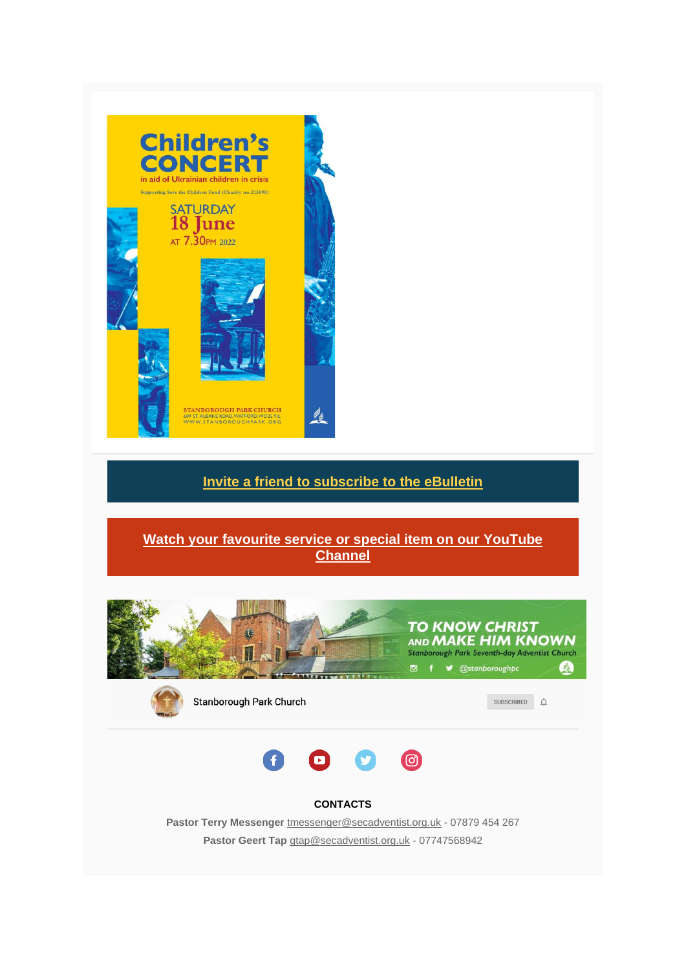

## **[Invite a friend to subscribe to the eBulletin](https://adventistchurch.us14.list-manage.com/track/click?u=9efd83f7aaf3818a26ce9d661&id=0447a4a9fc&e=052c5d509f)**